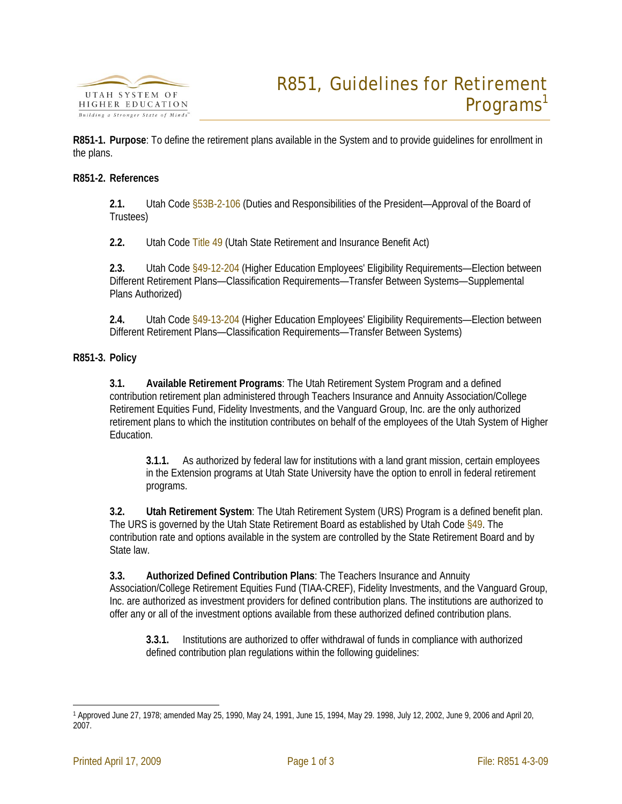

**R851-1. Purpose**: To define the retirement plans available in the System and to provide guidelines for enrollment in the plans.

## **R851-2. References**

**2.1.** Utah Code §53B-2-106 (Duties and Responsibilities of the President—Approval of the Board of Trustees)

**2.2.** Utah Code Title 49 (Utah State Retirement and Insurance Benefit Act)

**2.3.** Utah Code §49-12-204 (Higher Education Employees' Eligibility Requirements—Election between Different Retirement Plans—Classification Requirements—Transfer Between Systems—Supplemental Plans Authorized)

**2.4.** Utah Code §49-13-204 (Higher Education Employees' Eligibility Requirements—Election between Different Retirement Plans—Classification Requirements—Transfer Between Systems)

## **R851-3. Policy**

**3.1. Available Retirement Programs**: The Utah Retirement System Program and a defined contribution retirement plan administered through Teachers Insurance and Annuity Association/College Retirement Equities Fund, Fidelity Investments, and the Vanguard Group, Inc. are the only authorized retirement plans to which the institution contributes on behalf of the employees of the Utah System of Higher Education.

**3.1.1.** As authorized by federal law for institutions with a land grant mission, certain employees in the Extension programs at Utah State University have the option to enroll in federal retirement programs.

**3.2. Utah Retirement System**: The Utah Retirement System (URS) Program is a defined benefit plan. The URS is governed by the Utah State Retirement Board as established by Utah Code §49. The contribution rate and options available in the system are controlled by the State Retirement Board and by State law.

**3.3. Authorized Defined Contribution Plans**: The Teachers Insurance and Annuity Association/College Retirement Equities Fund (TIAA-CREF), Fidelity Investments, and the Vanguard Group, Inc. are authorized as investment providers for defined contribution plans. The institutions are authorized to offer any or all of the investment options available from these authorized defined contribution plans.

**3.3.1.** Institutions are authorized to offer withdrawal of funds in compliance with authorized defined contribution plan regulations within the following guidelines:

<sup>.&</sup>lt;br>-1 Approved June 27, 1978; amended May 25, 1990, May 24, 1991, June 15, 1994, May 29. 1998, July 12, 2002, June 9, 2006 and April 20, 2007.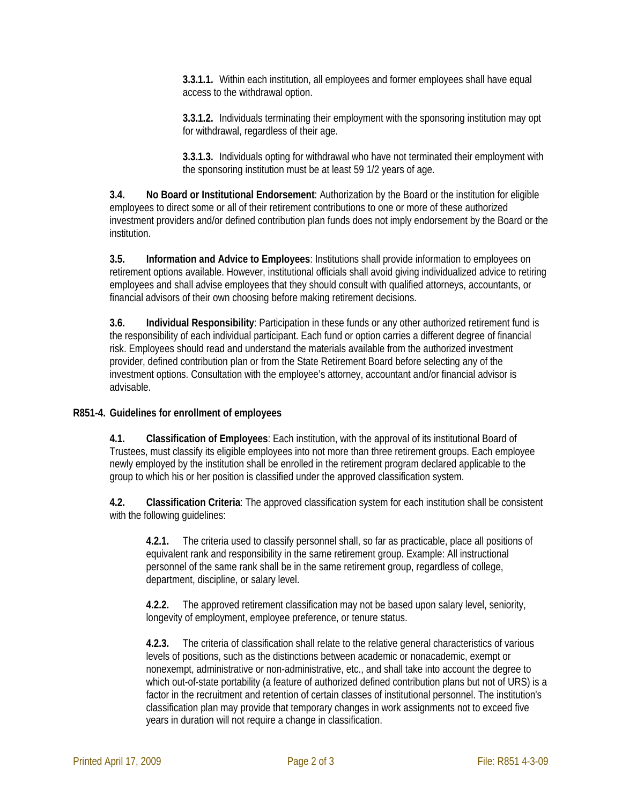**3.3.1.1.** Within each institution, all employees and former employees shall have equal access to the withdrawal option.

**3.3.1.2.** Individuals terminating their employment with the sponsoring institution may opt for withdrawal, regardless of their age.

**3.3.1.3.** Individuals opting for withdrawal who have not terminated their employment with the sponsoring institution must be at least 59 1/2 years of age.

**3.4. No Board or Institutional Endorsement**: Authorization by the Board or the institution for eligible employees to direct some or all of their retirement contributions to one or more of these authorized investment providers and/or defined contribution plan funds does not imply endorsement by the Board or the institution.

**3.5. Information and Advice to Employees**: Institutions shall provide information to employees on retirement options available. However, institutional officials shall avoid giving individualized advice to retiring employees and shall advise employees that they should consult with qualified attorneys, accountants, or financial advisors of their own choosing before making retirement decisions.

**3.6. Individual Responsibility**: Participation in these funds or any other authorized retirement fund is the responsibility of each individual participant. Each fund or option carries a different degree of financial risk. Employees should read and understand the materials available from the authorized investment provider, defined contribution plan or from the State Retirement Board before selecting any of the investment options. Consultation with the employee's attorney, accountant and/or financial advisor is advisable.

## **R851-4. Guidelines for enrollment of employees**

**4.1. Classification of Employees**: Each institution, with the approval of its institutional Board of Trustees, must classify its eligible employees into not more than three retirement groups. Each employee newly employed by the institution shall be enrolled in the retirement program declared applicable to the group to which his or her position is classified under the approved classification system.

**4.2. Classification Criteria**: The approved classification system for each institution shall be consistent with the following guidelines:

**4.2.1.** The criteria used to classify personnel shall, so far as practicable, place all positions of equivalent rank and responsibility in the same retirement group. Example: All instructional personnel of the same rank shall be in the same retirement group, regardless of college, department, discipline, or salary level.

**4.2.2.** The approved retirement classification may not be based upon salary level, seniority, longevity of employment, employee preference, or tenure status.

**4.2.3.** The criteria of classification shall relate to the relative general characteristics of various levels of positions, such as the distinctions between academic or nonacademic, exempt or nonexempt, administrative or non-administrative, etc., and shall take into account the degree to which out-of-state portability (a feature of authorized defined contribution plans but not of URS) is a factor in the recruitment and retention of certain classes of institutional personnel. The institution's classification plan may provide that temporary changes in work assignments not to exceed five years in duration will not require a change in classification.